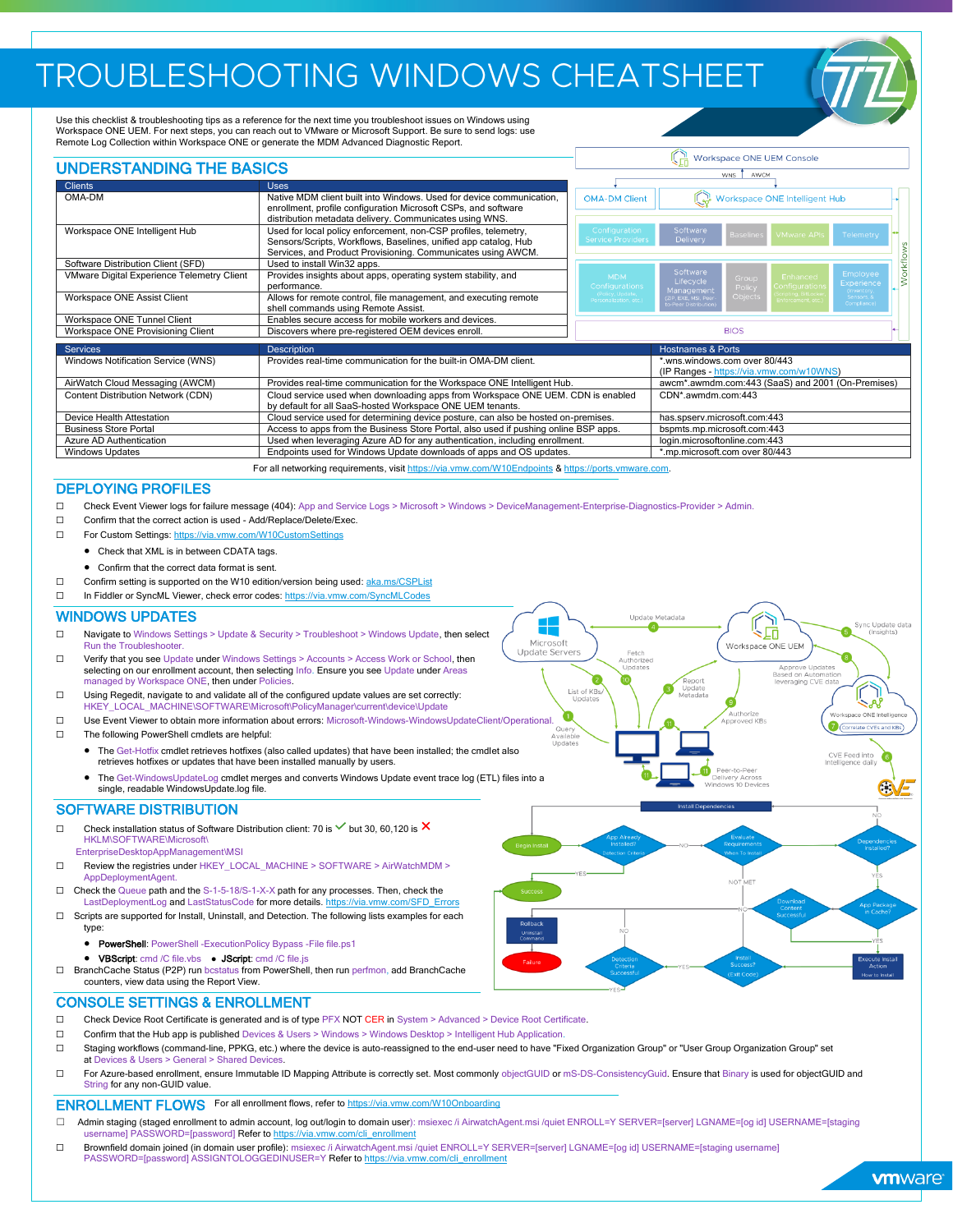# TROUBLESHOOTING WINDOWS CHEATSHEET

Use this checklist & troubleshooting tips as a reference for the next time you troubleshoot issues on Windows using Workspace ONE UEM. For next steps, you can reach out to VMware or Microsoft Support. Be sure to send logs: use Remote Log Collection within Workspace ONE or generate the MDM Advanced Diagnostic Report.

| <b>UNDERSTANDING THE BASICS</b>            |                                                                                                                                                                                                    |                                                                           | Workspace ONE UEM Console<br><b>WNS</b><br>AWCM |                  |                                          |                                                   |  |  |
|--------------------------------------------|----------------------------------------------------------------------------------------------------------------------------------------------------------------------------------------------------|---------------------------------------------------------------------------|-------------------------------------------------|------------------|------------------------------------------|---------------------------------------------------|--|--|
|                                            |                                                                                                                                                                                                    |                                                                           |                                                 |                  |                                          |                                                   |  |  |
| OMA-DM                                     | Native MDM client built into Windows. Used for device communication,<br>enrollment, profile configuration Microsoft CSPs, and software<br>distribution metadata delivery. Communicates using WNS.  | <b>OMA-DM Client</b>                                                      |                                                 |                  | Workspace ONE Intelligent Hub            |                                                   |  |  |
| Workspace ONE Intelligent Hub              | Used for local policy enforcement, non-CSP profiles, telemetry,<br>Sensors/Scripts, Workflows, Baselines, unified app catalog, Hub<br>Services, and Product Provisioning. Communicates using AWCM. | Configuration<br>Service Providers                                        | Software<br><b>Delivery</b>                     | <b>Baselines</b> | <b>VMware APIs</b>                       | Telemetry                                         |  |  |
| Software Distribution Client (SFD)         | Used to install Win32 apps.                                                                                                                                                                        |                                                                           |                                                 |                  |                                          |                                                   |  |  |
| VMware Digital Experience Telemetry Client | Provides insights about apps, operating system stability, and<br>performance.                                                                                                                      | <b>MDM</b><br>Configurations                                              | Software<br>Lifecycle<br>Management             | Group<br>Policy  | <b>Enhanced</b><br><b>configurations</b> | Workflow<br>Employee<br>Experience<br>(Inventory, |  |  |
| Workspace ONE Assist Client                | Allows for remote control, file management, and executing remote<br>shell commands using Remote Assist.                                                                                            | (Policy, Update,<br>Personalization, etc.)                                | (ZIP, EXE, MSI, Peer<br>o-Peer Distribution     | Objects          | cripting, BitLocke<br>inforcement, etc.) | Sensors &<br>Compliance)                          |  |  |
| Workspace ONE Tunnel Client                | Enables secure access for mobile workers and devices.                                                                                                                                              |                                                                           |                                                 |                  |                                          |                                                   |  |  |
| Workspace ONE Provisioning Client          | Discovers where pre-registered OEM devices enroll.                                                                                                                                                 | <b>BIOS</b>                                                               |                                                 |                  |                                          |                                                   |  |  |
| <b>Services</b>                            | <b>Description</b>                                                                                                                                                                                 |                                                                           | <b>Hostnames &amp; Ports</b>                    |                  |                                          |                                                   |  |  |
| Windows Notification Service (WNS)         | Provides real-time communication for the built-in OMA-DM client.                                                                                                                                   | *.wns.windows.com over 80/443<br>(IP Ranges - https://via.vmw.com/w10WNS) |                                                 |                  |                                          |                                                   |  |  |
| AirWatch Cloud Messaging (AWCM)            | Provides real-time communication for the Workspace ONE Intelligent Hub.                                                                                                                            | awcm*.awmdm.com:443 (SaaS) and 2001 (On-Premises)                         |                                                 |                  |                                          |                                                   |  |  |
| Content Distribution Network (CDN)         | Cloud service used when downloading apps from Workspace ONE UEM. CDN is enabled<br>by default for all SaaS-hosted Workspace ONE UEM tenants.                                                       | CDN*.awmdm.com:443                                                        |                                                 |                  |                                          |                                                   |  |  |
| Device Health Attestation                  | Cloud service used for determining device posture, can also be hosted on-premises.                                                                                                                 | has.spserv.microsoft.com:443                                              |                                                 |                  |                                          |                                                   |  |  |
| <b>Business Store Portal</b>               | Access to apps from the Business Store Portal, also used if pushing online BSP apps.                                                                                                               | bspmts.mp.microsoft.com:443                                               |                                                 |                  |                                          |                                                   |  |  |
| Azure AD Authentication                    | Used when leveraging Azure AD for any authentication, including enrollment.                                                                                                                        | login.microsoftonline.com:443                                             |                                                 |                  |                                          |                                                   |  |  |
| <b>Windows Updates</b>                     | Endpoints used for Windows Update downloads of apps and OS updates.                                                                                                                                | *.mp.microsoft.com over 80/443                                            |                                                 |                  |                                          |                                                   |  |  |

# For all networking requirements, visit <https://via.vmw.com/W10Endpoints> [& https://ports.vmware.com.](https://ports.vmware.com/)

### DEPLOYING PROFILES

- ☐ Check Event Viewer logs for failure message (404): App and Service Logs > Microsoft > Windows > DeviceManagement-Enterprise-Diagnostics-Provider > Admin.
- ☐ Confirm that the correct action is used Add/Replace/Delete/Exec.
- ☐ For Custom Settings: <https://via.vmw.com/W10CustomSettings>
	- Check that XML is in between CDATA tags.
	- Confirm that the correct data format is sent.
- □ Confirm setting is supported on the W10 edition/version being used[: aka.ms/CSPList](https://aka.ms/CSPList)
- □ In Fiddler or SyncML Viewer, check error codes: <https://via.vmw.com/SyncMLCodes>

### WINDOWS UPDATES

- ☐ Navigate to Windows Settings > Update & Security > Troubleshoot > Windows Update, then select Run the Troubleshooter.
- ☐ Verify that you see Update under Windows Settings > Accounts > Access Work or School, then selecting on our enrollment account, then selecting Info. Ensure you see Update under Areas managed by Workspace ONE, then under Policies.
- ☐ Using Regedit, navigate to and validate all of the configured update values are set correctly: LOCAL\_MACHINE\SOFTWARE\Microsoft\PolicyManager\current\device\Update
- ☐ Use Event Viewer to obtain more information about errors: Microsoft-Windows-WindowsUpdateClient/Operational. ☐ The following PowerShell cmdlets are helpful:
	- The Get-Hotfix cmdlet retrieves hotfixes (also called updates) that have been installed; the cmdlet also retrieves hotfixes or updates that have been installed manually by users.
	- The Get-WindowsUpdateLog cmdlet merges and converts Windows Update event trace log (ETL) files into a single, readable WindowsUpdate.log file.

## SOFTWARE DISTRIBUTION

- □ Check installation status of Software Distribution client: 70 is  $\checkmark$  but 30, 60,120 is  $\checkmark$ HKLM\SOFTWARE\Microsoft\ EnterpriseDesktopAppManagement\MSI
- ☐ Review the registries under HKEY\_LOCAL\_MACHINE > SOFTWARE > AirWatchMDM > AppDeploymentAgent.
- ☐ Check the Queue path and the S-1-5-18/S-1-X-X path for any processes. Then, check the LastDeploymentLog and LastStatusCode for more details.
- □ Scripts are supported for Install, Uninstall, and Detection. The following lists examples for each type:
	- PowerShell: PowerShell -ExecutionPolicy Bypass -File file.ps1
	- VBScript: cmd /C file.vbs JScript: cmd /C file.js
- ☐ BranchCache Status (P2P) run bcstatus from PowerShell, then run perfmon, add BranchCache counters, view data using the Report View.

# **GVE**

Upda

Microsoft

**Undate Servers** 

List of KB:<br>Updates

 $\bullet$ 

letadata

Ĺ

扁

Appro e Und

ነገ

ed into<br>ce daily

Workspace ONE UEM

### CONSOLE SETTINGS & ENROLLMENT

- ☐ Check Device Root Certificate is generated and is of type PFX NOT CER in System > Advanced > Device Root Certificate.
- ☐ Confirm that the Hub app is published Devices & Users > Windows > Windows Desktop > Intelligent Hub Application.
- ☐ Staging workflows (command-line, PPKG, etc.) where the device is auto-reassigned to the end-user need to have "Fixed Organization Group" or "User Group Organization Group" set at Devices & Users > General > Shared Devices.
- □ For Azure-based enrollment, ensure Immutable ID Mapping Attribute is correctly set. Most commonly objectGUID or mS-DS-ConsistencyGuid. Ensure that Binary is used for objectGUID and String for any non-GUID value.

## **ENROLLMENT FLOWS** For all enrollment flows, refer t[o https://via.vmw.com/W10Onboarding](https://via.vmw.com/W10Onboarding)

- ☐ Admin staging (staged enrollment to admin account, log out/login to domain user): msiexec /i AirwatchAgent.msi /quiet ENROLL=Y SERVER=[server] LGNAME=[og id] USERNAME=[staging username] PASSWORD=[password] Refer to http
- D Brownfield domain joined (in domain user profile): msiexec /i AirwatchAgent.msi /quiet ENROLL=Y SERVER=[server] LGNAME=[og id] USERNAME=[staging username]<br>PASSWORD=[password] ASSIGNTOLOGGEDINUSER=Y Refer to <u>https://via</u>